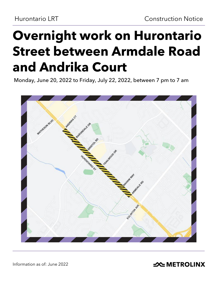# **Overnight work on Hurontario Street between Armdale Road and Andrika Court**

Monday, June 20, 2022 to Friday, July 22, 2022, between 7 pm to 7 am



Information as of: June 2022

**SOMETROLINX**